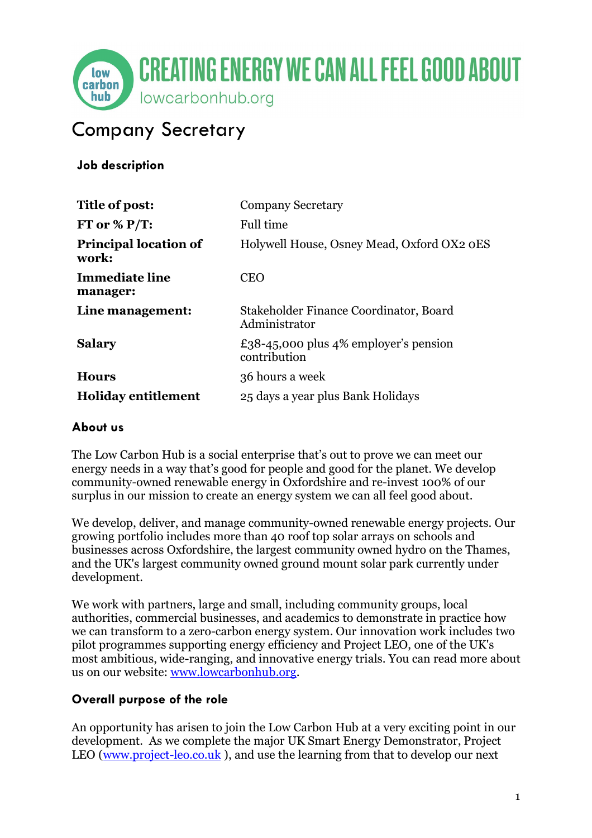

# Company Secretary

**Job description**

| Title of post:                        | <b>Company Secretary</b>                                |
|---------------------------------------|---------------------------------------------------------|
| FT or % $P/T$ :                       | Full time                                               |
| <b>Principal location of</b><br>work: | Holywell House, Osney Mead, Oxford OX2 oES              |
| <b>Immediate line</b><br>manager:     | <b>CEO</b>                                              |
| Line management:                      | Stakeholder Finance Coordinator, Board<br>Administrator |
| <b>Salary</b>                         | £38-45,000 plus 4% employer's pension<br>contribution   |
| <b>Hours</b>                          | 36 hours a week                                         |
| <b>Holiday entitlement</b>            | 25 days a year plus Bank Holidays                       |

#### **About us**

The Low Carbon Hub is a social enterprise that's out to prove we can meet our energy needs in a way that's good for people and good for the planet. We develop community-owned renewable energy in Oxfordshire and re-invest 100% of our surplus in our mission to create an energy system we can all feel good about.

We develop, deliver, and manage community-owned renewable energy projects. Our growing portfolio includes more than 40 roof top solar arrays on schools and businesses across Oxfordshire, the largest community owned hydro on the Thames, and the UK's largest community owned ground mount solar park currently under development.

We work with partners, large and small, including community groups, local authorities, commercial businesses, and academics to demonstrate in practice how we can transform to a zero-carbon energy system. Our innovation work includes two pilot programmes supporting energy efficiency and Project LEO, one of the UK's most ambitious, wide-ranging, and innovative energy trials. You can read more about us on our website: [www.lowcarbonhub.org.](http://www.lowcarbonhub.org/)

### **Overall purpose of the role**

An opportunity has arisen to join the Low Carbon Hub at a very exciting point in our development. As we complete the major UK Smart Energy Demonstrator, Project LEO [\(www.project-leo.co.uk](http://www.project-leo.co.uk/)), and use the learning from that to develop our next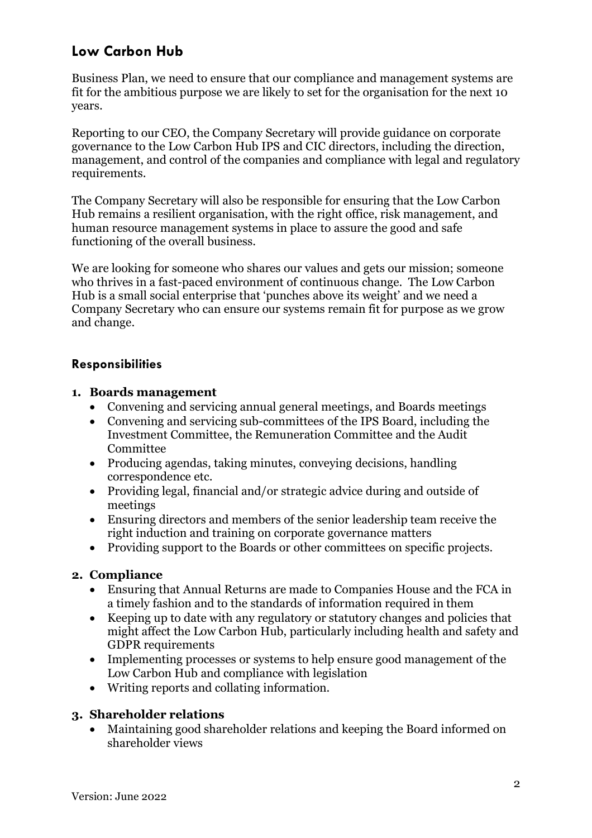## **Low Carbon Hub**

Business Plan, we need to ensure that our compliance and management systems are fit for the ambitious purpose we are likely to set for the organisation for the next 10 years.

Reporting to our CEO, the Company Secretary will provide guidance on corporate governance to the Low Carbon Hub IPS and CIC directors, including the direction, management, and control of the companies and compliance with legal and regulatory requirements.

The Company Secretary will also be responsible for ensuring that the Low Carbon Hub remains a resilient organisation, with the right office, risk management, and human resource management systems in place to assure the good and safe functioning of the overall business.

We are looking for someone who shares our values and gets our mission; someone who thrives in a fast-paced environment of continuous change. The Low Carbon Hub is a small social enterprise that 'punches above its weight' and we need a Company Secretary who can ensure our systems remain fit for purpose as we grow and change.

#### **Responsibilities**

#### **1. Boards management**

- Convening and servicing annual general meetings, and Boards meetings
- Convening and servicing sub-committees of the IPS Board, including the Investment Committee, the Remuneration Committee and the Audit Committee
- Producing agendas, taking minutes, conveving decisions, handling correspondence etc.
- Providing legal, financial and/or strategic advice during and outside of meetings
- Ensuring directors and members of the senior leadership team receive the right induction and training on corporate governance matters
- Providing support to the Boards or other committees on specific projects.

#### **2. Compliance**

- Ensuring that Annual Returns are made to Companies House and the FCA in a timely fashion and to the standards of information required in them
- Keeping up to date with any regulatory or statutory changes and policies that might affect the Low Carbon Hub, particularly including health and safety and GDPR requirements
- Implementing processes or systems to help ensure good management of the Low Carbon Hub and compliance with legislation
- Writing reports and collating information.

#### **3. Shareholder relations**

• Maintaining good shareholder relations and keeping the Board informed on shareholder views